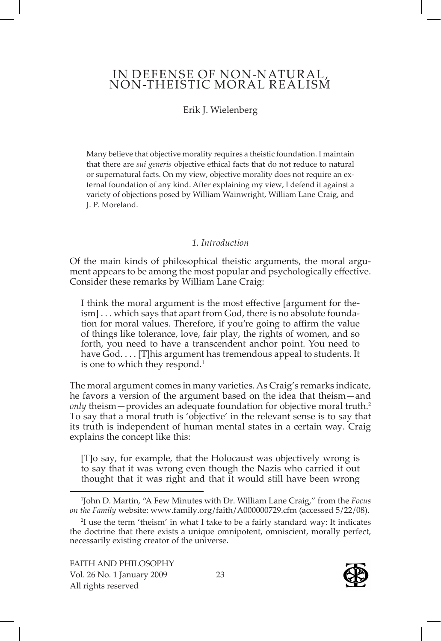# IN DEFENSE OF NON-NATURAL, NON-THEISTIC MORAL REALISM

## Erik J. Wielenberg

Many believe that objective morality requires a theistic foundation. I maintain that there are *sui generis* objective ethical facts that do not reduce to natural or supernatural facts. On my view, objective morality does not require an external foundation of any kind. After explaining my view, I defend it against a variety of objections posed by William Wainwright, William Lane Craig, and J. P. Moreland.

#### *1. Introduction*

Of the main kinds of philosophical theistic arguments, the moral argument appears to be among the most popular and psychologically effective. Consider these remarks by William Lane Craig:

I think the moral argument is the most effective [argument for theism] . . . which says that apart from God, there is no absolute foundation for moral values. Therefore, if you're going to affirm the value of things like tolerance, love, fair play, the rights of women, and so forth, you need to have a transcendent anchor point. You need to have God. . . . [T]his argument has tremendous appeal to students. It is one to which they respond.<sup>1</sup>

The moral argument comes in many varieties. As Craig's remarks indicate, he favors a version of the argument based on the idea that theism—and *only* theism—provides an adequate foundation for objective moral truth.<sup>2</sup> To say that a moral truth is 'objective' in the relevant sense is to say that its truth is independent of human mental states in a certain way. Craig explains the concept like this:

[T]o say, for example, that the Holocaust was objectively wrong is to say that it was wrong even though the Nazis who carried it out thought that it was right and that it would still have been wrong

FAITH AND PHILOSOPHY Vol. 26 No. 1 January 2009 23 All rights reserved



<sup>1</sup> John D. Martin, "A Few Minutes with Dr. William Lane Craig," from the *Focus on the Family* website: www.family.org / faith / A000000729.cfm (accessed 5 / 22 / 08).

<sup>2</sup> I use the term 'theism' in what I take to be a fairly standard way: It indicates the doctrine that there exists a unique omnipotent, omniscient, morally perfect, necessarily existing creator of the universe.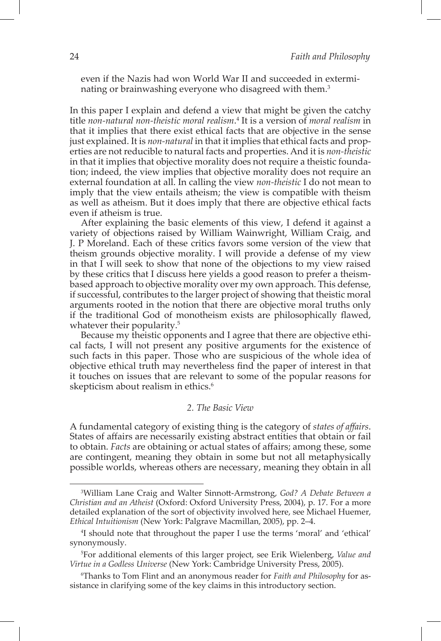even if the Nazis had won World War II and succeeded in exterminating or brainwashing everyone who disagreed with them.<sup>3</sup>

In this paper I explain and defend a view that might be given the catchy title *non-natural non-theistic moral realism*. 4 It is a version of *moral realism* in that it implies that there exist ethical facts that are objective in the sense just explained. It is *non-natural* in that it implies that ethical facts and properties are not reducible to natural facts and properties. And it is *non-theistic* in that it implies that objective morality does not require a theistic foundation; indeed, the view implies that objective morality does not require an external foundation at all. In calling the view *non-theistic* I do not mean to imply that the view entails atheism; the view is compatible with theism as well as atheism. But it does imply that there are objective ethical facts even if atheism is true.

After explaining the basic elements of this view, I defend it against a variety of objections raised by William Wainwright, William Craig, and J. P Moreland. Each of these critics favors some version of the view that theism grounds objective morality. I will provide a defense of my view in that I will seek to show that none of the objections to my view raised by these critics that I discuss here yields a good reason to prefer a theismbased approach to objective morality over my own approach. This defense, if successful, contributes to the larger project of showing that theistic moral arguments rooted in the notion that there are objective moral truths only if the traditional God of monotheism exists are philosophically flawed, whatever their popularity.<sup>5</sup>

Because my theistic opponents and I agree that there are objective ethical facts, I will not present any positive arguments for the existence of such facts in this paper. Those who are suspicious of the whole idea of objective ethical truth may nevertheless find the paper of interest in that it touches on issues that are relevant to some of the popular reasons for skepticism about realism in ethics.<sup>6</sup>

#### *2. The Basic View*

A fundamental category of existing thing is the category of *states of affairs*. States of affairs are necessarily existing abstract entities that obtain or fail to obtain. *Facts* are obtaining or actual states of affairs; among these, some are contingent, meaning they obtain in some but not all metaphysically possible worlds, whereas others are necessary, meaning they obtain in all

<sup>3</sup> William Lane Craig and Walter Sinnott-Armstrong, *God? A Debate Between a Christian and an Atheist* (Oxford: Oxford University Press, 2004), p. 17. For a more detailed explanation of the sort of objectivity involved here, see Michael Huemer, *Ethical Intuitionism* (New York: Palgrave Macmillan, 2005), pp. 2–4.

<sup>4</sup> I should note that throughout the paper I use the terms 'moral' and 'ethical' synonymously.

<sup>5</sup> For additional elements of this larger project, see Erik Wielenberg, *Value and Virtue in a Godless Universe* (New York: Cambridge University Press, 2005).

<sup>6</sup> Thanks to Tom Flint and an anonymous reader for *Faith and Philosophy* for assistance in clarifying some of the key claims in this introductory section.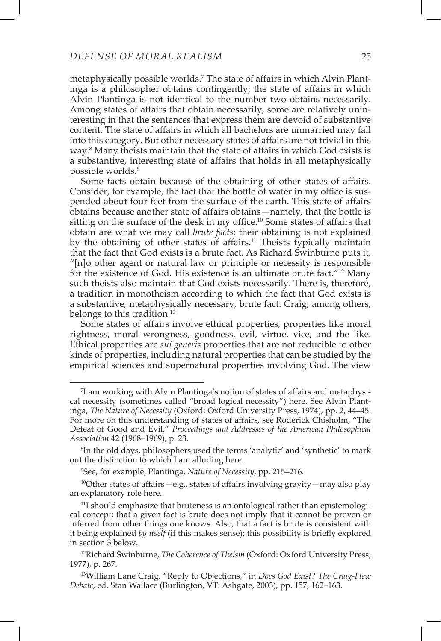## *defense of moral realism* 25

metaphysically possible worlds.<sup>7</sup> The state of affairs in which Alvin Plantinga is a philosopher obtains contingently; the state of affairs in which Alvin Plantinga is not identical to the number two obtains necessarily. Among states of affairs that obtain necessarily, some are relatively uninteresting in that the sentences that express them are devoid of substantive content. The state of affairs in which all bachelors are unmarried may fall into this category. But other necessary states of affairs are not trivial in this way.<sup>8</sup> Many theists maintain that the state of affairs in which God exists is a substantive, interesting state of affairs that holds in all metaphysically possible worlds.9

Some facts obtain because of the obtaining of other states of affairs. Consider, for example, the fact that the bottle of water in my office is suspended about four feet from the surface of the earth. This state of affairs obtains because another state of affairs obtains—namely, that the bottle is sitting on the surface of the desk in my office.<sup>10</sup> Some states of affairs that obtain are what we may call *brute facts*; their obtaining is not explained by the obtaining of other states of affairs.<sup>11</sup> Theists typically maintain that the fact that God exists is a brute fact. As Richard Swinburne puts it, "[n]o other agent or natural law or principle or necessity is responsible for the existence of God. His existence is an ultimate brute fact. $^{712}$  Many such theists also maintain that God exists necessarily. There is, therefore, a tradition in monotheism according to which the fact that God exists is a substantive, metaphysically necessary, brute fact. Craig, among others, belongs to this tradition.<sup>13</sup>

Some states of affairs involve ethical properties, properties like moral rightness, moral wrongness, goodness, evil, virtue, vice, and the like. Ethical properties are *sui generis* properties that are not reducible to other kinds of properties, including natural properties that can be studied by the empirical sciences and supernatural properties involving God. The view

9 See, for example, Plantinga, *Nature of Necessity*, pp. 215–216.

<sup>10</sup>Other states of affairs—e.g., states of affairs involving gravity—may also play an explanatory role here.

<sup>11</sup>I should emphasize that bruteness is an ontological rather than epistemological concept; that a given fact is brute does not imply that it cannot be proven or inferred from other things one knows. Also, that a fact is brute is consistent with it being explained *by itself* (if this makes sense); this possibility is briefly explored in section 3 below.

12Richard Swinburne, *The Coherence of Theism* (Oxford: Oxford University Press, 1977), p. 267.

<sup>7</sup> I am working with Alvin Plantinga's notion of states of affairs and metaphysical necessity (sometimes called "broad logical necessity") here. See Alvin Plantinga, *The Nature of Necessity* (Oxford: Oxford University Press, 1974), pp. 2, 44–45. For more on this understanding of states of affairs, see Roderick Chisholm, "The Defeat of Good and Evil," *Proceedings and Addresses of the American Philosophical Association* 42 (1968–1969), p. 23.

<sup>8</sup> In the old days, philosophers used the terms 'analytic' and 'synthetic' to mark out the distinction to which I am alluding here.

<sup>13</sup>William Lane Craig, "Reply to Objections," in *Does God Exist? The Craig-Flew Debate*, ed. Stan Wallace (Burlington, VT: Ashgate, 2003), pp. 157, 162–163.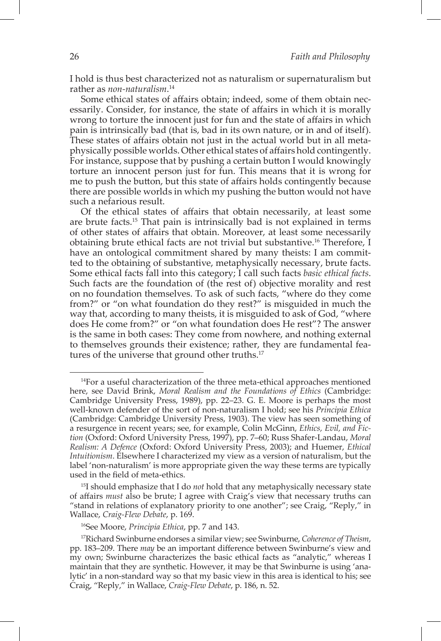I hold is thus best characterized not as naturalism or supernaturalism but rather as *non-naturalism*. 14

Some ethical states of affairs obtain; indeed, some of them obtain necessarily. Consider, for instance, the state of affairs in which it is morally wrong to torture the innocent just for fun and the state of affairs in which pain is intrinsically bad (that is, bad in its own nature, or in and of itself). These states of affairs obtain not just in the actual world but in all metaphysically possible worlds. Other ethical states of affairs hold contingently. For instance, suppose that by pushing a certain button I would knowingly torture an innocent person just for fun. This means that it is wrong for me to push the button, but this state of affairs holds contingently because there are possible worlds in which my pushing the button would not have such a nefarious result.

Of the ethical states of affairs that obtain necessarily, at least some are brute facts.<sup>15</sup> That pain is intrinsically bad is not explained in terms of other states of affairs that obtain. Moreover, at least some necessarily obtaining brute ethical facts are not trivial but substantive.<sup>16</sup> Therefore, I have an ontological commitment shared by many theists: I am committed to the obtaining of substantive, metaphysically necessary, brute facts. Some ethical facts fall into this category; I call such facts *basic ethical facts*. Such facts are the foundation of (the rest of) objective morality and rest on no foundation themselves. To ask of such facts, "where do they come from?" or "on what foundation do they rest?" is misguided in much the way that, according to many theists, it is misguided to ask of God, "where does He come from?" or "on what foundation does He rest"? The answer is the same in both cases: They come from nowhere, and nothing external to themselves grounds their existence; rather, they are fundamental features of the universe that ground other truths.<sup>17</sup>

<sup>15</sup>I should emphasize that I do *not* hold that any metaphysically necessary state of affairs *must* also be brute; I agree with Craig's view that necessary truths can "stand in relations of explanatory priority to one another"; see Craig, "Reply," in Wallace, *Craig-Flew Debate*, p. 169.

16See Moore, *Principia Ethica*, pp. 7 and 143.

<sup>14</sup>For a useful characterization of the three meta-ethical approaches mentioned here, see David Brink, *Moral Realism and the Foundations of Ethics* (Cambridge: Cambridge University Press, 1989), pp. 22–23. G. E. Moore is perhaps the most well-known defender of the sort of non-naturalism I hold; see his *Principia Ethica* (Cambridge: Cambridge University Press, 1903). The view has seen something of a resurgence in recent years; see, for example, Colin McGinn, *Ethics, Evil, and Fiction* (Oxford: Oxford University Press, 1997), pp. 7–60; Russ Shafer-Landau, *Moral Realism: A Defence* (Oxford: Oxford University Press, 2003); and Huemer, *Ethical Intuitionism*. Elsewhere I characterized my view as a version of naturalism, but the label 'non-naturalism' is more appropriate given the way these terms are typically used in the field of meta-ethics.

<sup>17</sup>Richard Swinburne endorses a similar view; see Swinburne, *Coherence of Theism*, pp. 183–209. There *may* be an important difference between Swinburne's view and my own; Swinburne characterizes the basic ethical facts as "analytic," whereas I maintain that they are synthetic. However, it may be that Swinburne is using 'analytic' in a non-standard way so that my basic view in this area is identical to his; see Craig, "Reply," in Wallace, *Craig-Flew Debate*, p. 186, n. 52.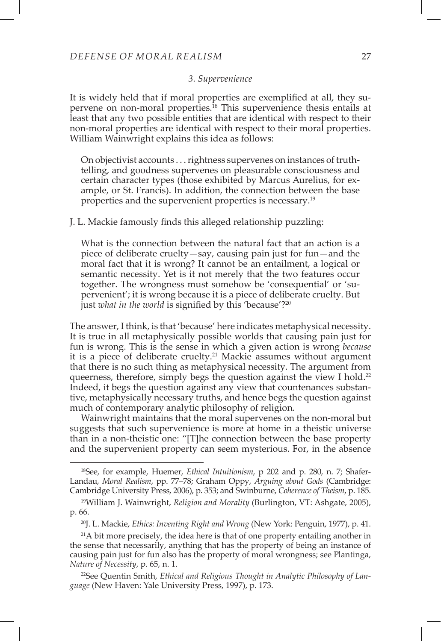#### *3. Supervenience*

It is widely held that if moral properties are exemplified at all, they supervene on non-moral properties.<sup>18</sup> This supervenience thesis entails at least that any two possible entities that are identical with respect to their non-moral properties are identical with respect to their moral properties. William Wainwright explains this idea as follows:

On objectivist accounts . . . rightness supervenes on instances of truthtelling, and goodness supervenes on pleasurable consciousness and certain character types (those exhibited by Marcus Aurelius, for example, or St. Francis). In addition, the connection between the base properties and the supervenient properties is necessary.19

## J. L. Mackie famously finds this alleged relationship puzzling:

What is the connection between the natural fact that an action is a piece of deliberate cruelty—say, causing pain just for fun—and the moral fact that it is wrong? It cannot be an entailment, a logical or semantic necessity. Yet is it not merely that the two features occur together. The wrongness must somehow be 'consequential' or 'supervenient'; it is wrong because it is a piece of deliberate cruelty. But just *what in the world* is signified by this 'because'?<sup>20</sup>

The answer, I think, is that 'because' here indicates metaphysical necessity. It is true in all metaphysically possible worlds that causing pain just for fun is wrong. This is the sense in which a given action is wrong *because* it is a piece of deliberate cruelty.<sup>21</sup> Mackie assumes without argument that there is no such thing as metaphysical necessity. The argument from queerness, therefore, simply begs the question against the view I hold.<sup>22</sup> Indeed, it begs the question against any view that countenances substantive, metaphysically necessary truths, and hence begs the question against much of contemporary analytic philosophy of religion.

Wainwright maintains that the moral supervenes on the non-moral but suggests that such supervenience is more at home in a theistic universe than in a non-theistic one: "[T]he connection between the base property and the supervenient property can seem mysterious. For, in the absence

<sup>18</sup>See, for example, Huemer, *Ethical Intuitionism*, p 202 and p. 280, n. 7; Shafer-Landau, *Moral Realism*, pp. 77–78; Graham Oppy, *Arguing about Gods* (Cambridge: Cambridge University Press, 2006), p. 353; and Swinburne, *Coherence of Theism*, p. 185.

<sup>19</sup>William J. Wainwright, *Religion and Morality* (Burlington, VT: Ashgate, 2005), p. 66.

<sup>20</sup>J. L. Mackie, *Ethics: Inventing Right and Wrong* (New York: Penguin, 1977), p. 41.

 $21A$  bit more precisely, the idea here is that of one property entailing another in the sense that necessarily, anything that has the property of being an instance of causing pain just for fun also has the property of moral wrongness; see Plantinga, *Nature of Necessity*, p. 65, n. 1.

<sup>&</sup>lt;sup>22</sup>See Quentin Smith, Ethical and Religious Thought in Analytic Philosophy of Lan*guage* (New Haven: Yale University Press, 1997), p. 173.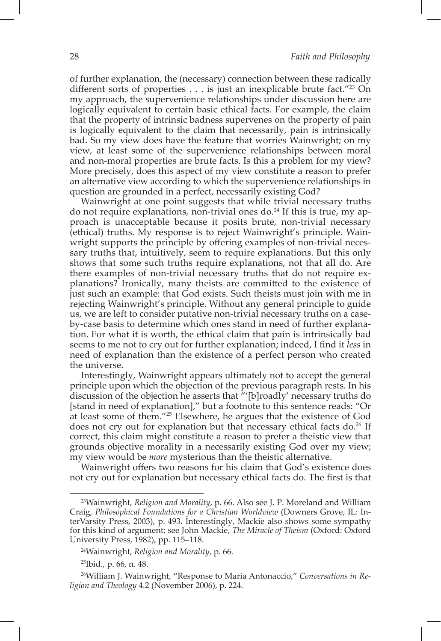of further explanation, the (necessary) connection between these radically different sorts of properties  $\dots$  is just an inexplicable brute fact."<sup>23</sup> On my approach, the supervenience relationships under discussion here are logically equivalent to certain basic ethical facts. For example, the claim that the property of intrinsic badness supervenes on the property of pain is logically equivalent to the claim that necessarily, pain is intrinsically bad. So my view does have the feature that worries Wainwright; on my view, at least some of the supervenience relationships between moral and non-moral properties are brute facts. Is this a problem for my view? More precisely, does this aspect of my view constitute a reason to prefer an alternative view according to which the supervenience relationships in question are grounded in a perfect, necessarily existing God?

Wainwright at one point suggests that while trivial necessary truths do not require explanations, non-trivial ones  $\rm{do}^{24}$  If this is true, my approach is unacceptable because it posits brute, non-trivial necessary (ethical) truths. My response is to reject Wainwright's principle. Wainwright supports the principle by offering examples of non-trivial necessary truths that, intuitively, seem to require explanations. But this only shows that some such truths require explanations, not that all do. Are there examples of non-trivial necessary truths that do not require explanations? Ironically, many theists are committed to the existence of just such an example: that God exists. Such theists must join with me in rejecting Wainwright's principle. Without any general principle to guide us, we are left to consider putative non-trivial necessary truths on a caseby-case basis to determine which ones stand in need of further explanation. For what it is worth, the ethical claim that pain is intrinsically bad seems to me not to cry out for further explanation; indeed, I find it *less* in need of explanation than the existence of a perfect person who created the universe.

Interestingly, Wainwright appears ultimately not to accept the general principle upon which the objection of the previous paragraph rests. In his discussion of the objection he asserts that "'[b]roadly' necessary truths do [stand in need of explanation]," but a footnote to this sentence reads: "Or at least some of them."<sup>25</sup> Elsewhere, he argues that the existence of God does not cry out for explanation but that necessary ethical facts do.<sup>26</sup> If correct, this claim might constitute a reason to prefer a theistic view that grounds objective morality in a necessarily existing God over my view; my view would be *more* mysterious than the theistic alternative.

Wainwright offers two reasons for his claim that God's existence does not cry out for explanation but necessary ethical facts do. The first is that

<sup>23</sup>Wainwright, *Religion and Morality*, p. 66. Also see J. P. Moreland and William Craig, *Philosophical Foundations for a Christian Worldview* (Downers Grove, IL: InterVarsity Press, 2003), p. 493. Interestingly, Mackie also shows some sympathy for this kind of argument; see John Mackie, *The Miracle of Theism* (Oxford: Oxford University Press, 1982), pp. 115–118.

<sup>24</sup>Wainwright, *Religion and Morality*, p. 66.

<sup>25</sup>Ibid., p. 66, n. 48.

<sup>26</sup>William J. Wainwright, "Response to Maria Antonaccio," *Conversations in Religion and Theology* 4.2 (November 2006), p. 224.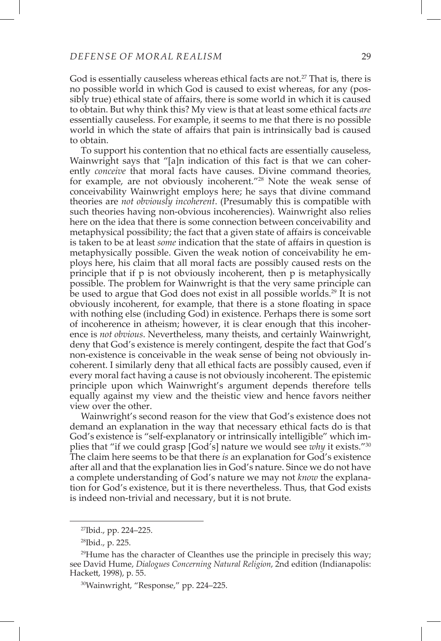## *defense of moral realism* 29

God is essentially causeless whereas ethical facts are not.<sup>27</sup> That is, there is no possible world in which God is caused to exist whereas, for any (possibly true) ethical state of affairs, there is some world in which it is caused to obtain. But why think this? My view is that at least some ethical facts *are* essentially causeless. For example, it seems to me that there is no possible world in which the state of affairs that pain is intrinsically bad is caused to obtain.

To support his contention that no ethical facts are essentially causeless, Wainwright says that "[a]n indication of this fact is that we can coherently *conceive* that moral facts have causes. Divine command theories, for example, are not obviously incoherent."<sup>28</sup> Note the weak sense of conceivability Wainwright employs here; he says that divine command theories are *not obviously incoherent*. (Presumably this is compatible with such theories having non-obvious incoherencies). Wainwright also relies here on the idea that there is some connection between conceivability and metaphysical possibility; the fact that a given state of affairs is conceivable is taken to be at least *some* indication that the state of affairs in question is metaphysically possible. Given the weak notion of conceivability he employs here, his claim that all moral facts are possibly caused rests on the principle that if p is not obviously incoherent, then p is metaphysically possible. The problem for Wainwright is that the very same principle can be used to argue that God does not exist in all possible worlds.29 It is not obviously incoherent, for example, that there is a stone floating in space with nothing else (including God) in existence. Perhaps there is some sort of incoherence in atheism; however, it is clear enough that this incoherence is *not obvious*. Nevertheless, many theists, and certainly Wainwright, deny that God's existence is merely contingent, despite the fact that God's non-existence is conceivable in the weak sense of being not obviously incoherent. I similarly deny that all ethical facts are possibly caused, even if every moral fact having a cause is not obviously incoherent. The epistemic principle upon which Wainwright's argument depends therefore tells equally against my view and the theistic view and hence favors neither view over the other.

Wainwright's second reason for the view that God's existence does not demand an explanation in the way that necessary ethical facts do is that God's existence is "self-explanatory or intrinsically intelligible" which implies that "if we could grasp [God's] nature we would see *why* it exists."30 The claim here seems to be that there *is* an explanation for God's existence after all and that the explanation lies in God's nature. Since we do not have a complete understanding of God's nature we may not *know* the explanation for God's existence, but it is there nevertheless. Thus, that God exists is indeed non-trivial and necessary, but it is not brute.

<sup>27</sup>Ibid., pp. 224–225.

<sup>28</sup>Ibid., p. 225.

<sup>&</sup>lt;sup>29</sup>Hume has the character of Cleanthes use the principle in precisely this way; see David Hume, *Dialogues Concerning Natural Religion*, 2nd edition (Indianapolis: Hackett, 1998), p. 55.

<sup>30</sup>Wainwright, "Response," pp. 224–225.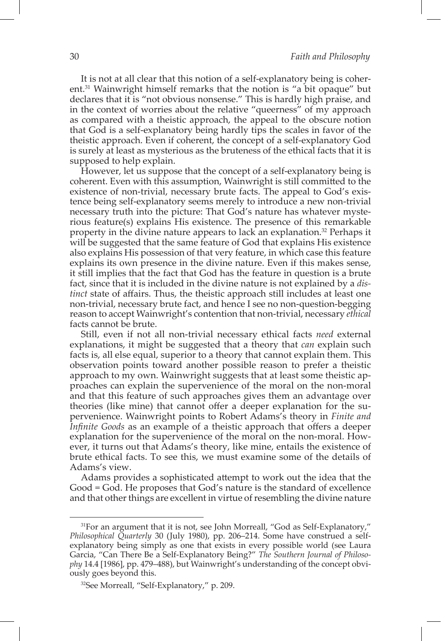It is not at all clear that this notion of a self-explanatory being is coherent.31 Wainwright himself remarks that the notion is "a bit opaque" but declares that it is "not obvious nonsense." This is hardly high praise, and in the context of worries about the relative "queerness" of my approach as compared with a theistic approach, the appeal to the obscure notion that God is a self-explanatory being hardly tips the scales in favor of the theistic approach. Even if coherent, the concept of a self-explanatory God is surely at least as mysterious as the bruteness of the ethical facts that it is supposed to help explain.

However, let us suppose that the concept of a self-explanatory being is coherent. Even with this assumption, Wainwright is still committed to the existence of non-trivial, necessary brute facts. The appeal to God's existence being self-explanatory seems merely to introduce a new non-trivial necessary truth into the picture: That God's nature has whatever mysterious feature(s) explains His existence. The presence of this remarkable property in the divine nature appears to lack an explanation.<sup>32</sup> Perhaps it will be suggested that the same feature of God that explains His existence also explains His possession of that very feature, in which case this feature explains its own presence in the divine nature. Even if this makes sense, it still implies that the fact that God has the feature in question is a brute fact, since that it is included in the divine nature is not explained by a *distinct* state of affairs. Thus, the theistic approach still includes at least one non-trivial, necessary brute fact, and hence I see no non-question-begging reason to accept Wainwright's contention that non-trivial, necessary *ethical* facts cannot be brute.

Still, even if not all non-trivial necessary ethical facts *need* external explanations, it might be suggested that a theory that *can* explain such facts is, all else equal, superior to a theory that cannot explain them. This observation points toward another possible reason to prefer a theistic approach to my own. Wainwright suggests that at least some theistic approaches can explain the supervenience of the moral on the non-moral and that this feature of such approaches gives them an advantage over theories (like mine) that cannot offer a deeper explanation for the supervenience. Wainwright points to Robert Adams's theory in *Finite and Infinite Goods* as an example of a theistic approach that offers a deeper explanation for the supervenience of the moral on the non-moral. However, it turns out that Adams's theory, like mine, entails the existence of brute ethical facts. To see this, we must examine some of the details of Adams's view.

Adams provides a sophisticated attempt to work out the idea that the Good = God. He proposes that God's nature is the standard of excellence and that other things are excellent in virtue of resembling the divine nature

<sup>&</sup>lt;sup>31</sup>For an argument that it is not, see John Morreall, "God as Self-Explanatory," *Philosophical Quarterly* 30 (July 1980), pp. 206–214. Some have construed a selfexplanatory being simply as one that exists in every possible world (see Laura Garcia, "Can There Be a Self-Explanatory Being?" *The Southern Journal of Philosophy* 14.4 [1986], pp. 479–488), but Wainwright's understanding of the concept obviously goes beyond this.

<sup>32</sup>See Morreall, "Self-Explanatory," p. 209.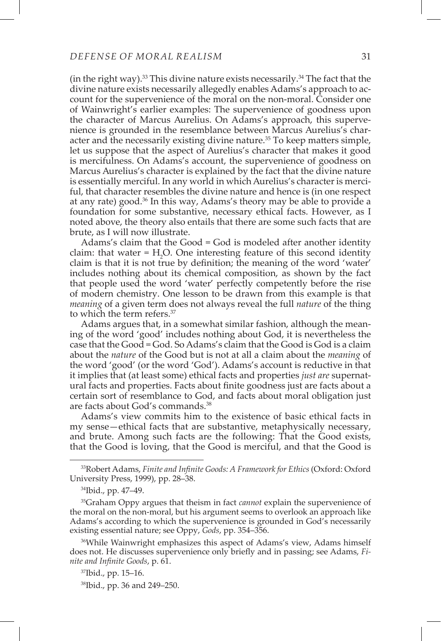(in the right way).<sup>33</sup> This divine nature exists necessarily.<sup>34</sup> The fact that the divine nature exists necessarily allegedly enables Adams's approach to account for the supervenience of the moral on the non-moral. Consider one of Wainwright's earlier examples: The supervenience of goodness upon the character of Marcus Aurelius. On Adams's approach, this supervenience is grounded in the resemblance between Marcus Aurelius's character and the necessarily existing divine nature.<sup>35</sup> To keep matters simple, let us suppose that the aspect of Aurelius's character that makes it good is mercifulness. On Adams's account, the supervenience of goodness on Marcus Aurelius's character is explained by the fact that the divine nature is essentially merciful. In any world in which Aurelius's character is merciful, that character resembles the divine nature and hence is (in one respect at any rate) good.36 In this way, Adams's theory may be able to provide a foundation for some substantive, necessary ethical facts. However, as I noted above, the theory also entails that there are some such facts that are brute, as I will now illustrate.

Adams's claim that the Good = God is modeled after another identity claim: that water =  $H_2O$ . One interesting feature of this second identity claim is that it is not true by definition; the meaning of the word 'water' includes nothing about its chemical composition, as shown by the fact that people used the word 'water' perfectly competently before the rise of modern chemistry. One lesson to be drawn from this example is that *meaning* of a given term does not always reveal the full *nature* of the thing to which the term refers.<sup>37</sup>

Adams argues that, in a somewhat similar fashion, although the meaning of the word 'good' includes nothing about God, it is nevertheless the case that the Good = God. So Adams's claim that the Good is God is a claim about the *nature* of the Good but is not at all a claim about the *meaning* of the word 'good' (or the word 'God'). Adams's account is reductive in that it implies that (at least some) ethical facts and properties *just are* supernatural facts and properties. Facts about finite goodness just are facts about a certain sort of resemblance to God, and facts about moral obligation just are facts about God's commands.<sup>38</sup>

Adams's view commits him to the existence of basic ethical facts in my sense—ethical facts that are substantive, metaphysically necessary, and brute. Among such facts are the following: That the Good exists, that the Good is loving, that the Good is merciful, and that the Good is

38Ibid., pp. 36 and 249–250.

<sup>33</sup>Robert Adams, *Finite and Infinite Goods: A Framework for Ethics* (Oxford: Oxford University Press, 1999), pp. 28–38.

<sup>34</sup>Ibid., pp. 47–49.

<sup>35</sup>Graham Oppy argues that theism in fact *cannot* explain the supervenience of the moral on the non-moral, but his argument seems to overlook an approach like Adams's according to which the supervenience is grounded in God's necessarily existing essential nature; see Oppy, *Gods*, pp. 354–356.

<sup>36</sup>While Wainwright emphasizes this aspect of Adams's view, Adams himself does not. He discusses supervenience only briefly and in passing; see Adams, *Finite and Infinite Goods*, p. 61.

<sup>37</sup>Ibid., pp. 15–16.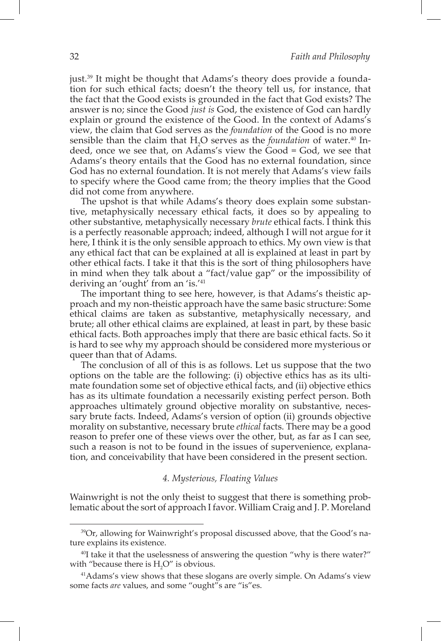just.<sup>39</sup> It might be thought that Adams's theory does provide a foundation for such ethical facts; doesn't the theory tell us, for instance, that the fact that the Good exists is grounded in the fact that God exists? The answer is no; since the Good *just is* God, the existence of God can hardly explain or ground the existence of the Good. In the context of Adams's view, the claim that God serves as the *foundation* of the Good is no more sensible than the claim that H<sub>2</sub>O serves as the *foundation* of water.<sup>40</sup> Indeed, once we see that, on Adams's view the Good = God, we see that Adams's theory entails that the Good has no external foundation, since God has no external foundation. It is not merely that Adams's view fails to specify where the Good came from; the theory implies that the Good did not come from anywhere.

The upshot is that while Adams's theory does explain some substantive, metaphysically necessary ethical facts, it does so by appealing to other substantive, metaphysically necessary *brute* ethical facts. I think this is a perfectly reasonable approach; indeed, although I will not argue for it here, I think it is the only sensible approach to ethics. My own view is that any ethical fact that can be explained at all is explained at least in part by other ethical facts. I take it that this is the sort of thing philosophers have in mind when they talk about a "fact/value gap" or the impossibility of deriving an 'ought' from an 'is.'<sup>41</sup>

The important thing to see here, however, is that Adams's theistic approach and my non-theistic approach have the same basic structure: Some ethical claims are taken as substantive, metaphysically necessary, and brute; all other ethical claims are explained, at least in part, by these basic ethical facts. Both approaches imply that there are basic ethical facts. So it is hard to see why my approach should be considered more mysterious or queer than that of Adams.

The conclusion of all of this is as follows. Let us suppose that the two options on the table are the following: (i) objective ethics has as its ultimate foundation some set of objective ethical facts, and (ii) objective ethics has as its ultimate foundation a necessarily existing perfect person. Both approaches ultimately ground objective morality on substantive, necessary brute facts. Indeed, Adams's version of option (ii) grounds objective morality on substantive, necessary brute *ethical* facts. There may be a good reason to prefer one of these views over the other, but, as far as I can see, such a reason is not to be found in the issues of supervenience, explanation, and conceivability that have been considered in the present section.

#### *4. Mysterious, Floating Values*

Wainwright is not the only theist to suggest that there is something problematic about the sort of approach I favor. William Craig and J. P. Moreland

<sup>&</sup>lt;sup>39</sup>Or, allowing for Wainwright's proposal discussed above, that the Good's nature explains its existence.

<sup>&</sup>lt;sup>40</sup>I take it that the uselessness of answering the question "why is there water?" with "because there is  $H_2O''$  is obvious.

<sup>41</sup>Adams's view shows that these slogans are overly simple. On Adams's view some facts *are* values, and some "ought"s are "is"es.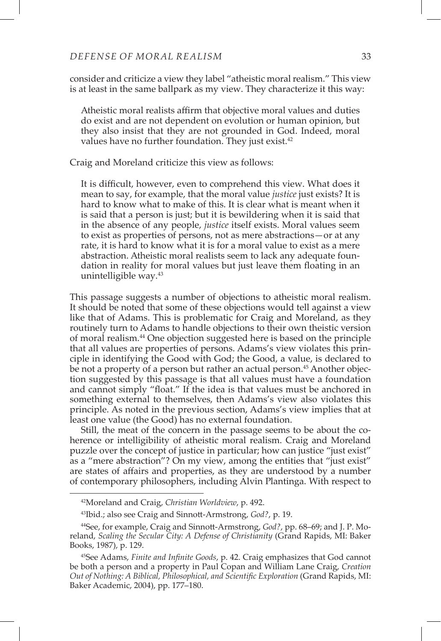consider and criticize a view they label "atheistic moral realism." This view is at least in the same ballpark as my view. They characterize it this way:

Atheistic moral realists affirm that objective moral values and duties do exist and are not dependent on evolution or human opinion, but they also insist that they are not grounded in God. Indeed, moral values have no further foundation. They just exist.<sup>42</sup>

Craig and Moreland criticize this view as follows:

It is difficult, however, even to comprehend this view. What does it mean to say, for example, that the moral value *justice* just exists? It is hard to know what to make of this. It is clear what is meant when it is said that a person is just; but it is bewildering when it is said that in the absence of any people, *justice* itself exists. Moral values seem to exist as properties of persons, not as mere abstractions—or at any rate, it is hard to know what it is for a moral value to exist as a mere abstraction. Atheistic moral realists seem to lack any adequate foundation in reality for moral values but just leave them floating in an unintelligible way.<sup>43</sup>

This passage suggests a number of objections to atheistic moral realism. It should be noted that some of these objections would tell against a view like that of Adams. This is problematic for Craig and Moreland, as they routinely turn to Adams to handle objections to their own theistic version of moral realism.44 One objection suggested here is based on the principle that all values are properties of persons. Adams's view violates this principle in identifying the Good with God; the Good, a value, is declared to be not a property of a person but rather an actual person.<sup>45</sup> Another objection suggested by this passage is that all values must have a foundation and cannot simply "float." If the idea is that values must be anchored in something external to themselves, then Adams's view also violates this principle. As noted in the previous section, Adams's view implies that at least one value (the Good) has no external foundation.

Still, the meat of the concern in the passage seems to be about the coherence or intelligibility of atheistic moral realism. Craig and Moreland puzzle over the concept of justice in particular; how can justice "just exist" as a "mere abstraction"? On my view, among the entities that "just exist" are states of affairs and properties, as they are understood by a number of contemporary philosophers, including Alvin Plantinga. With respect to

<sup>42</sup>Moreland and Craig, *Christian Worldview*, p. 492.

<sup>43</sup>Ibid.; also see Craig and Sinnott-Armstrong, *God?*, p. 19.

<sup>44</sup>See, for example, Craig and Sinnott-Armstrong, *God?*, pp. 68–69; and J. P. Moreland, *Scaling the Secular City: A Defense of Christianity* (Grand Rapids, MI: Baker Books, 1987), p. 129.

<sup>45</sup>See Adams, *Finite and Infinite Goods*, p. 42. Craig emphasizes that God cannot be both a person and a property in Paul Copan and William Lane Craig, *Creation Out of Nothing: A Biblical, Philosophical, and Scientific Exploration* (Grand Rapids, MI: Baker Academic, 2004), pp. 177–180.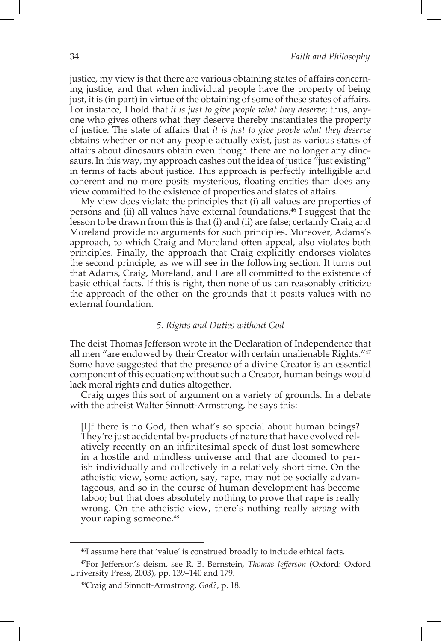justice, my view is that there are various obtaining states of affairs concerning justice, and that when individual people have the property of being just, it is (in part) in virtue of the obtaining of some of these states of affairs. For instance, I hold that *it is just to give people what they deserve*; thus, anyone who gives others what they deserve thereby instantiates the property of justice. The state of affairs that *it is just to give people what they deserve* obtains whether or not any people actually exist, just as various states of affairs about dinosaurs obtain even though there are no longer any dinosaurs. In this way, my approach cashes out the idea of justice "just existing" in terms of facts about justice. This approach is perfectly intelligible and coherent and no more posits mysterious, floating entities than does any view committed to the existence of properties and states of affairs.

My view does violate the principles that (i) all values are properties of persons and (ii) all values have external foundations.46 I suggest that the lesson to be drawn from this is that (i) and (ii) are false; certainly Craig and Moreland provide no arguments for such principles. Moreover, Adams's approach, to which Craig and Moreland often appeal, also violates both principles. Finally, the approach that Craig explicitly endorses violates the second principle, as we will see in the following section. It turns out that Adams, Craig, Moreland, and I are all committed to the existence of basic ethical facts. If this is right, then none of us can reasonably criticize the approach of the other on the grounds that it posits values with no external foundation.

#### *5. Rights and Duties without God*

The deist Thomas Jefferson wrote in the Declaration of Independence that all men "are endowed by their Creator with certain unalienable Rights."<sup>47</sup> Some have suggested that the presence of a divine Creator is an essential component of this equation; without such a Creator, human beings would lack moral rights and duties altogether.

Craig urges this sort of argument on a variety of grounds. In a debate with the atheist Walter Sinnott-Armstrong, he says this:

[I]f there is no God, then what's so special about human beings? They're just accidental by-products of nature that have evolved relatively recently on an infinitesimal speck of dust lost somewhere in a hostile and mindless universe and that are doomed to perish individually and collectively in a relatively short time. On the atheistic view, some action, say, rape, may not be socially advantageous, and so in the course of human development has become taboo; but that does absolutely nothing to prove that rape is really wrong. On the atheistic view, there's nothing really *wrong* with your raping someone.<sup>48</sup>

<sup>46</sup>I assume here that 'value' is construed broadly to include ethical facts.

<sup>47</sup>For Jefferson's deism, see R. B. Bernstein, *Thomas Jefferson* (Oxford: Oxford University Press, 2003), pp. 139–140 and 179.

<sup>48</sup>Craig and Sinnott-Armstrong, *God?*, p. 18.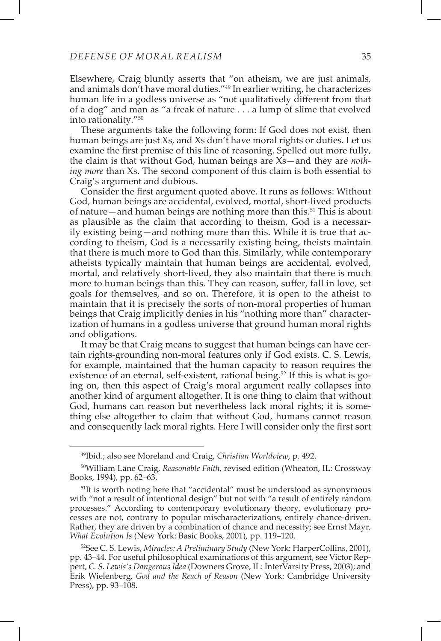## *defense of moral realism* 35

Elsewhere, Craig bluntly asserts that "on atheism, we are just animals, and animals don't have moral duties."49 In earlier writing, he characterizes human life in a godless universe as "not qualitatively different from that of a dog" and man as "a freak of nature . . . a lump of slime that evolved into rationality."<sup>50</sup>

These arguments take the following form: If God does not exist, then human beings are just Xs, and Xs don't have moral rights or duties. Let us examine the first premise of this line of reasoning. Spelled out more fully, the claim is that without God, human beings are Xs—and they are *nothing more* than Xs. The second component of this claim is both essential to Craig's argument and dubious.

Consider the first argument quoted above. It runs as follows: Without God, human beings are accidental, evolved, mortal, short-lived products of nature—and human beings are nothing more than this.<sup>51</sup> This is about as plausible as the claim that according to theism, God is a necessarily existing being—and nothing more than this. While it is true that according to theism, God is a necessarily existing being, theists maintain that there is much more to God than this. Similarly, while contemporary atheists typically maintain that human beings are accidental, evolved, mortal, and relatively short-lived, they also maintain that there is much more to human beings than this. They can reason, suffer, fall in love, set goals for themselves, and so on. Therefore, it is open to the atheist to maintain that it is precisely the sorts of non-moral properties of human beings that Craig implicitly denies in his "nothing more than" characterization of humans in a godless universe that ground human moral rights and obligations.

It may be that Craig means to suggest that human beings can have certain rights-grounding non-moral features only if God exists. C. S. Lewis, for example, maintained that the human capacity to reason requires the existence of an eternal, self-existent, rational being.<sup>52</sup> If this is what is going on, then this aspect of Craig's moral argument really collapses into another kind of argument altogether. It is one thing to claim that without God, humans can reason but nevertheless lack moral rights; it is something else altogether to claim that without God, humans cannot reason and consequently lack moral rights. Here I will consider only the first sort

<sup>49</sup>Ibid.; also see Moreland and Craig, *Christian Worldview*, p. 492.

<sup>50</sup>William Lane Craig, *Reasonable Faith*, revised edition (Wheaton, IL: Crossway Books, 1994), pp. 62–63.

<sup>51</sup>It is worth noting here that "accidental" must be understood as synonymous with "not a result of intentional design" but not with "a result of entirely random processes." According to contemporary evolutionary theory, evolutionary processes are not, contrary to popular mischaracterizations, entirely chance-driven. Rather, they are driven by a combination of chance and necessity; see Ernst Mayr, *What Evolution Is* (New York: Basic Books, 2001), pp. 119–120.

<sup>52</sup>See C. S. Lewis, *Miracles: A Preliminary Study* (New York: HarperCollins, 2001), pp. 43–44. For useful philosophical examinations of this argument, see Victor Reppert, *C. S. Lewis's Dangerous Idea* (Downers Grove, IL: InterVarsity Press, 2003); and Erik Wielenberg, *God and the Reach of Reason* (New York: Cambridge University Press), pp. 93–108.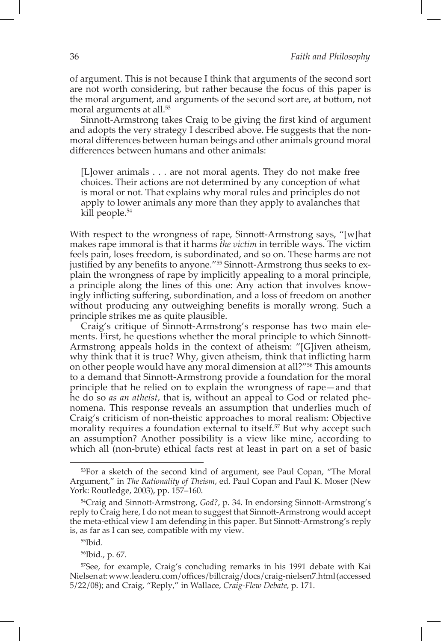of argument. This is not because I think that arguments of the second sort are not worth considering, but rather because the focus of this paper is the moral argument, and arguments of the second sort are, at bottom, not moral arguments at all.<sup>53</sup>

Sinnott-Armstrong takes Craig to be giving the first kind of argument and adopts the very strategy I described above. He suggests that the nonmoral differences between human beings and other animals ground moral differences between humans and other animals:

[L]ower animals . . . are not moral agents. They do not make free choices. Their actions are not determined by any conception of what is moral or not. That explains why moral rules and principles do not apply to lower animals any more than they apply to avalanches that kill people.<sup>54</sup>

With respect to the wrongness of rape, Sinnott-Armstrong says, "[w]hat makes rape immoral is that it harms *the victim* in terrible ways. The victim feels pain, loses freedom, is subordinated, and so on. These harms are not justified by any benefits to anyone."<sup>55</sup> Sinnott-Armstrong thus seeks to explain the wrongness of rape by implicitly appealing to a moral principle, a principle along the lines of this one: Any action that involves knowingly inflicting suffering, subordination, and a loss of freedom on another without producing any outweighing benefits is morally wrong. Such a principle strikes me as quite plausible.

Craig's critique of Sinnott-Armstrong's response has two main elements. First, he questions whether the moral principle to which Sinnott-Armstrong appeals holds in the context of atheism: "[G]iven atheism, why think that it is true? Why, given atheism, think that inflicting harm on other people would have any moral dimension at all?"<sup>56</sup> This amounts to a demand that Sinnott-Armstrong provide a foundation for the moral principle that he relied on to explain the wrongness of rape—and that he do so *as an atheist*, that is, without an appeal to God or related phenomena. This response reveals an assumption that underlies much of Craig's criticism of non-theistic approaches to moral realism: Objective morality requires a foundation external to itself.<sup>57</sup> But why accept such an assumption? Another possibility is a view like mine, according to which all (non-brute) ethical facts rest at least in part on a set of basic

56Ibid., p. 67.

<sup>53</sup>For a sketch of the second kind of argument, see Paul Copan, "The Moral Argument," in *The Rationality of Theism*, ed. Paul Copan and Paul K. Moser (New York: Routledge, 2003), pp. 157–160.

<sup>54</sup>Craig and Sinnott-Armstrong, *God?*, p. 34. In endorsing Sinnott-Armstrong's reply to Craig here, I do not mean to suggest that Sinnott-Armstrong would accept the meta-ethical view I am defending in this paper. But Sinnott-Armstrong's reply is, as far as I can see, compatible with my view.

<sup>55</sup>Ibid.

<sup>57</sup>See, for example, Craig's concluding remarks in his 1991 debate with Kai Nielsen at: www.leaderu.com / offices / billcraig / docs / craig-nielsen7.html (accessed 5 / 22 / 08); and Craig, "Reply," in Wallace, *Craig-Flew Debate*, p. 171.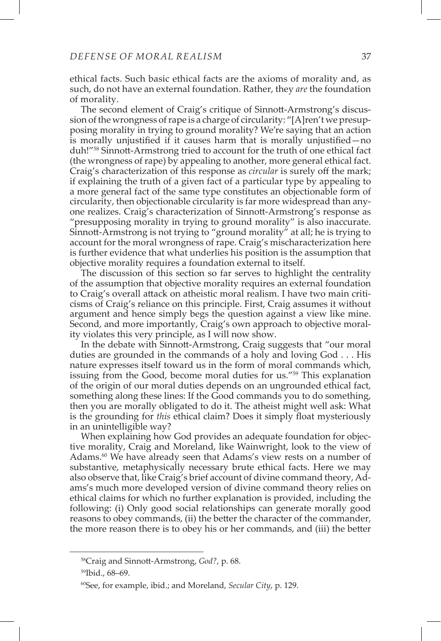ethical facts. Such basic ethical facts are the axioms of morality and, as such, do not have an external foundation. Rather, they *are* the foundation of morality.

The second element of Craig's critique of Sinnott-Armstrong's discussion of the wrongness of rape is a charge of circularity: "[A]ren't we presupposing morality in trying to ground morality? We're saying that an action is morally unjustified if it causes harm that is morally unjustified—no duh!"58 Sinnott-Armstrong tried to account for the truth of one ethical fact (the wrongness of rape) by appealing to another, more general ethical fact. Craig's characterization of this response as *circular* is surely off the mark; if explaining the truth of a given fact of a particular type by appealing to a more general fact of the same type constitutes an objectionable form of circularity, then objectionable circularity is far more widespread than anyone realizes. Craig's characterization of Sinnott-Armstrong's response as "presupposing morality in trying to ground morality" is also inaccurate. Sinnott-Armstrong is not trying to "ground morality" at all; he is trying to account for the moral wrongness of rape. Craig's mischaracterization here is further evidence that what underlies his position is the assumption that objective morality requires a foundation external to itself.

The discussion of this section so far serves to highlight the centrality of the assumption that objective morality requires an external foundation to Craig's overall attack on atheistic moral realism. I have two main criticisms of Craig's reliance on this principle. First, Craig assumes it without argument and hence simply begs the question against a view like mine. Second, and more importantly, Craig's own approach to objective morality violates this very principle, as I will now show.

In the debate with Sinnott-Armstrong, Craig suggests that "our moral duties are grounded in the commands of a holy and loving God . . . His nature expresses itself toward us in the form of moral commands which, issuing from the Good, become moral duties for us."<sup>59</sup> This explanation of the origin of our moral duties depends on an ungrounded ethical fact, something along these lines: If the Good commands you to do something, then you are morally obligated to do it. The atheist might well ask: What is the grounding for *this* ethical claim? Does it simply float mysteriously in an unintelligible way?

When explaining how God provides an adequate foundation for objective morality, Craig and Moreland, like Wainwright, look to the view of Adams.<sup>60</sup> We have already seen that Adams's view rests on a number of substantive, metaphysically necessary brute ethical facts. Here we may also observe that, like Craig's brief account of divine command theory, Adams's much more developed version of divine command theory relies on ethical claims for which no further explanation is provided, including the following: (i) Only good social relationships can generate morally good reasons to obey commands, (ii) the better the character of the commander, the more reason there is to obey his or her commands, and (iii) the better

<sup>58</sup>Craig and Sinnott-Armstrong, *God?*, p. 68.

<sup>59</sup>Ibid., 68–69.

<sup>60</sup>See, for example, ibid.; and Moreland, *Secular City*, p. 129.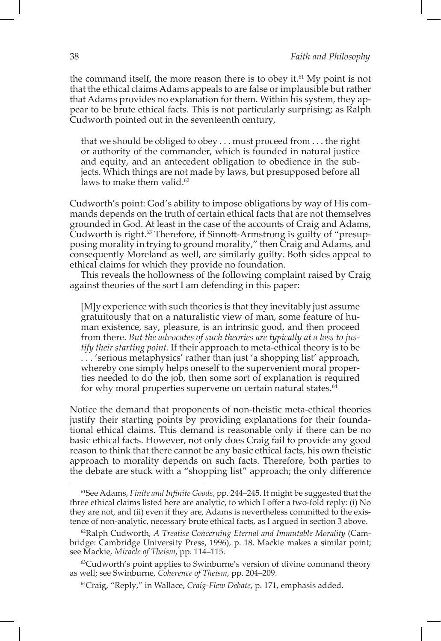the command itself, the more reason there is to obey it.<sup>61</sup> My point is not that the ethical claims Adams appeals to are false or implausible but rather that Adams provides no explanation for them. Within his system, they appear to be brute ethical facts. This is not particularly surprising; as Ralph Cudworth pointed out in the seventeenth century,

that we should be obliged to obey . . . must proceed from . . . the right or authority of the commander, which is founded in natural justice and equity, and an antecedent obligation to obedience in the subjects. Which things are not made by laws, but presupposed before all laws to make them valid.<sup>62</sup>

Cudworth's point: God's ability to impose obligations by way of His commands depends on the truth of certain ethical facts that are not themselves grounded in God. At least in the case of the accounts of Craig and Adams, Cudworth is right.63 Therefore, if Sinnott-Armstrong is guilty of "presupposing morality in trying to ground morality," then Craig and Adams, and consequently Moreland as well, are similarly guilty. Both sides appeal to ethical claims for which they provide no foundation.

This reveals the hollowness of the following complaint raised by Craig against theories of the sort I am defending in this paper:

[M]y experience with such theories is that they inevitably just assume gratuitously that on a naturalistic view of man, some feature of human existence, say, pleasure, is an intrinsic good, and then proceed from there. *But the advocates of such theories are typically at a loss to justify their starting point*. If their approach to meta-ethical theory is to be . . . 'serious metaphysics' rather than just 'a shopping list' approach, whereby one simply helps oneself to the supervenient moral properties needed to do the job, then some sort of explanation is required for why moral properties supervene on certain natural states.<sup>64</sup>

Notice the demand that proponents of non-theistic meta-ethical theories justify their starting points by providing explanations for their foundational ethical claims. This demand is reasonable only if there can be no basic ethical facts. However, not only does Craig fail to provide any good reason to think that there cannot be any basic ethical facts, his own theistic approach to morality depends on such facts. Therefore, both parties to the debate are stuck with a "shopping list" approach; the only difference

64Craig, "Reply," in Wallace, *Craig-Flew Debate*, p. 171, emphasis added.

<sup>61</sup>See Adams, *Finite and Infinite Goods*, pp. 244–245. It might be suggested that the three ethical claims listed here are analytic, to which I offer a two-fold reply: (i) No they are not, and (ii) even if they are, Adams is nevertheless committed to the existence of non-analytic, necessary brute ethical facts, as I argued in section 3 above.

<sup>62</sup>Ralph Cudworth, *A Treatise Concerning Eternal and Immutable Morality* (Cambridge: Cambridge University Press, 1996), p. 18. Mackie makes a similar point; see Mackie, *Miracle of Theism*, pp. 114–115.

<sup>&</sup>lt;sup>63</sup>Cudworth's point applies to Swinburne's version of divine command theory as well; see Swinburne, *Coherence of Theism*, pp. 204–209.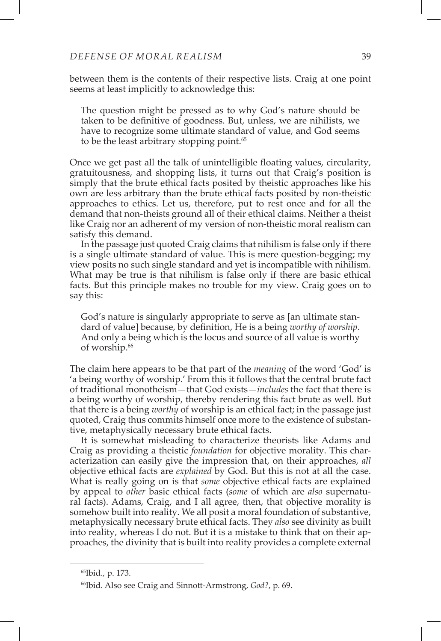between them is the contents of their respective lists. Craig at one point seems at least implicitly to acknowledge this:

The question might be pressed as to why God's nature should be taken to be definitive of goodness. But, unless, we are nihilists, we have to recognize some ultimate standard of value, and God seems to be the least arbitrary stopping point.<sup>65</sup>

Once we get past all the talk of unintelligible floating values, circularity, gratuitousness, and shopping lists, it turns out that Craig's position is simply that the brute ethical facts posited by theistic approaches like his own are less arbitrary than the brute ethical facts posited by non-theistic approaches to ethics. Let us, therefore, put to rest once and for all the demand that non-theists ground all of their ethical claims. Neither a theist like Craig nor an adherent of my version of non-theistic moral realism can satisfy this demand.

In the passage just quoted Craig claims that nihilism is false only if there is a single ultimate standard of value. This is mere question-begging; my view posits no such single standard and yet is incompatible with nihilism. What may be true is that nihilism is false only if there are basic ethical facts. But this principle makes no trouble for my view. Craig goes on to say this:

God's nature is singularly appropriate to serve as [an ultimate standard of value] because, by definition, He is a being *worthy of worship*. And only a being which is the locus and source of all value is worthy of worship.<sup>66</sup>

The claim here appears to be that part of the *meaning* of the word 'God' is 'a being worthy of worship.' From this it follows that the central brute fact of traditional monotheism—that God exists—*includes* the fact that there is a being worthy of worship, thereby rendering this fact brute as well. But that there is a being *worthy* of worship is an ethical fact; in the passage just quoted, Craig thus commits himself once more to the existence of substantive, metaphysically necessary brute ethical facts.

It is somewhat misleading to characterize theorists like Adams and Craig as providing a theistic *foundation* for objective morality. This characterization can easily give the impression that, on their approaches, *all* objective ethical facts are *explained* by God. But this is not at all the case. What is really going on is that *some* objective ethical facts are explained by appeal to *other* basic ethical facts (*some* of which are *also* supernatural facts). Adams, Craig, and I all agree, then, that objective morality is somehow built into reality. We all posit a moral foundation of substantive, metaphysically necessary brute ethical facts. They *also* see divinity as built into reality, whereas I do not. But it is a mistake to think that on their approaches, the divinity that is built into reality provides a complete external

<sup>65</sup>Ibid., p. 173.

<sup>66</sup>Ibid. Also see Craig and Sinnott-Armstrong, *God?*, p. 69.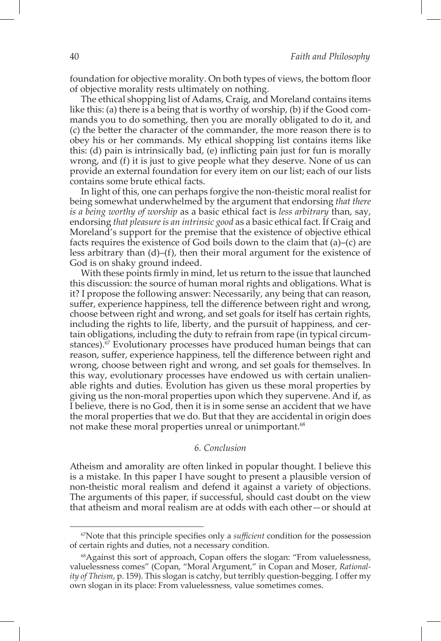foundation for objective morality. On both types of views, the bottom floor of objective morality rests ultimately on nothing.

The ethical shopping list of Adams, Craig, and Moreland contains items like this: (a) there is a being that is worthy of worship, (b) if the Good commands you to do something, then you are morally obligated to do it, and (c) the better the character of the commander, the more reason there is to obey his or her commands. My ethical shopping list contains items like this: (d) pain is intrinsically bad, (e) inflicting pain just for fun is morally wrong, and (f) it is just to give people what they deserve. None of us can provide an external foundation for every item on our list; each of our lists contains some brute ethical facts.

In light of this, one can perhaps forgive the non-theistic moral realist for being somewhat underwhelmed by the argument that endorsing *that there is a being worthy of worship* as a basic ethical fact is *less arbitrary* than, say, endorsing *that pleasure is an intrinsic good* as a basic ethical fact. If Craig and Moreland's support for the premise that the existence of objective ethical facts requires the existence of God boils down to the claim that (a)–(c) are less arbitrary than  $(d)$ – $(f)$ , then their moral argument for the existence of God is on shaky ground indeed.

With these points firmly in mind, let us return to the issue that launched this discussion: the source of human moral rights and obligations. What is it? I propose the following answer: Necessarily, any being that can reason, suffer, experience happiness, tell the difference between right and wrong, choose between right and wrong, and set goals for itself has certain rights, including the rights to life, liberty, and the pursuit of happiness, and certain obligations, including the duty to refrain from rape (in typical circumstances). $67$  Evolutionary processes have produced human beings that can reason, suffer, experience happiness, tell the difference between right and wrong, choose between right and wrong, and set goals for themselves. In this way, evolutionary processes have endowed us with certain unalienable rights and duties. Evolution has given us these moral properties by giving us the non-moral properties upon which they supervene. And if, as I believe, there is no God, then it is in some sense an accident that we have the moral properties that we do. But that they are accidental in origin does not make these moral properties unreal or unimportant.<sup>68</sup>

#### *6. Conclusion*

Atheism and amorality are often linked in popular thought. I believe this is a mistake. In this paper I have sought to present a plausible version of non-theistic moral realism and defend it against a variety of objections. The arguments of this paper, if successful, should cast doubt on the view that atheism and moral realism are at odds with each other—or should at

<sup>67</sup>Note that this principle specifies only a *sufficient* condition for the possession of certain rights and duties, not a necessary condition.

<sup>68</sup>Against this sort of approach, Copan offers the slogan: "From valuelessness, valuelessness comes" (Copan, "Moral Argument," in Copan and Moser, *Rationality of Theism*, p. 159). This slogan is catchy, but terribly question-begging. I offer my own slogan in its place: From valuelessness, value sometimes comes.